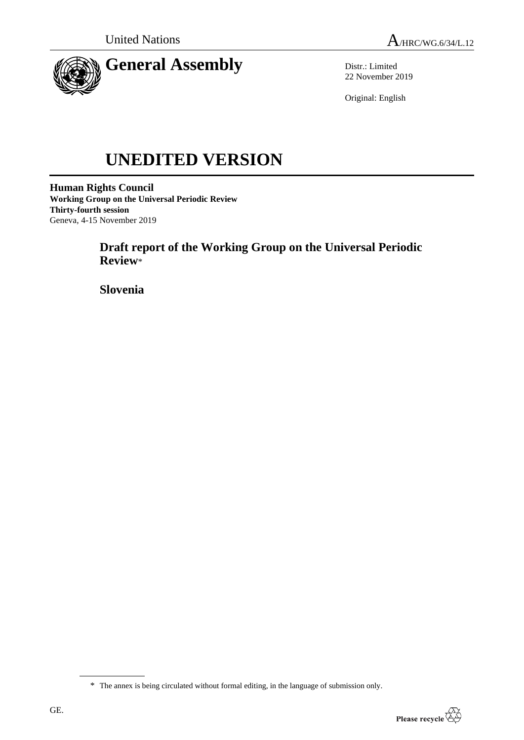

Distr.: Limited 22 November 2019

Original: English

# **UNEDITED VERSION**

**Human Rights Council Working Group on the Universal Periodic Review Thirty-fourth session** Geneva, 4-15 November 2019

> **Draft report of the Working Group on the Universal Periodic Review**\*

**Slovenia**

<sup>\*</sup> The annex is being circulated without formal editing, in the language of submission only.

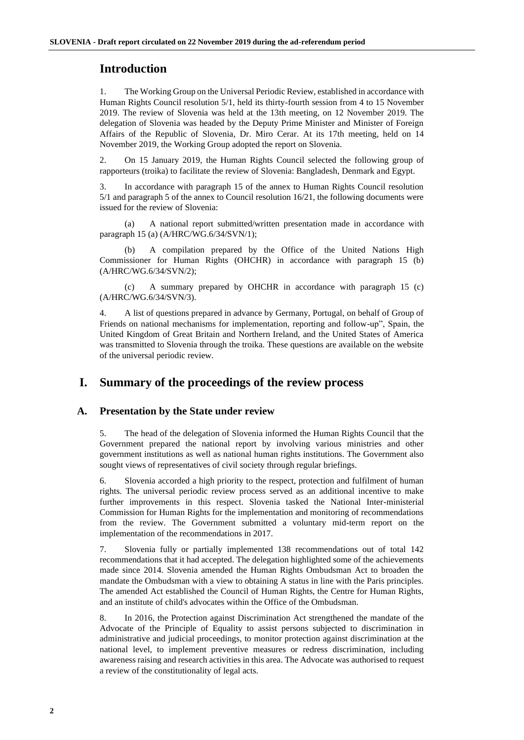## **Introduction**

1. The Working Group on the Universal Periodic Review, established in accordance with Human Rights Council resolution 5/1, held its thirty-fourth session from 4 to 15 November 2019. The review of Slovenia was held at the 13th meeting, on 12 November 2019. The delegation of Slovenia was headed by the Deputy Prime Minister and Minister of Foreign Affairs of the Republic of Slovenia, Dr. Miro Cerar. At its 17th meeting, held on 14 November 2019, the Working Group adopted the report on Slovenia.

2. On 15 January 2019, the Human Rights Council selected the following group of rapporteurs (troika) to facilitate the review of Slovenia: Bangladesh, Denmark and Egypt.

3. In accordance with paragraph 15 of the annex to Human Rights Council resolution 5/1 and paragraph 5 of the annex to Council resolution 16/21, the following documents were issued for the review of Slovenia:

(a) A national report submitted/written presentation made in accordance with paragraph 15 (a) (A/HRC/WG.6/34/SVN/1);

A compilation prepared by the Office of the United Nations High Commissioner for Human Rights (OHCHR) in accordance with paragraph 15 (b) (A/HRC/WG.6/34/SVN/2);

(c) A summary prepared by OHCHR in accordance with paragraph 15 (c) (A/HRC/WG.6/34/SVN/3).

4. A list of questions prepared in advance by Germany, Portugal, on behalf of Group of Friends on national mechanisms for implementation, reporting and follow-up", Spain, the United Kingdom of Great Britain and Northern Ireland, and the United States of America was transmitted to Slovenia through the troika. These questions are available on the website of the universal periodic review.

### **I. Summary of the proceedings of the review process**

#### **A. Presentation by the State under review**

5. The head of the delegation of Slovenia informed the Human Rights Council that the Government prepared the national report by involving various ministries and other government institutions as well as national human rights institutions. The Government also sought views of representatives of civil society through regular briefings.

6. Slovenia accorded a high priority to the respect, protection and fulfilment of human rights. The universal periodic review process served as an additional incentive to make further improvements in this respect. Slovenia tasked the National Inter-ministerial Commission for Human Rights for the implementation and monitoring of recommendations from the review. The Government submitted a voluntary mid-term report on the implementation of the recommendations in 2017.

7. Slovenia fully or partially implemented 138 recommendations out of total 142 recommendations that it had accepted. The delegation highlighted some of the achievements made since 2014. Slovenia amended the Human Rights Ombudsman Act to broaden the mandate the Ombudsman with a view to obtaining A status in line with the Paris principles. The amended Act established the Council of Human Rights, the Centre for Human Rights, and an institute of child's advocates within the Office of the Ombudsman.

8. In 2016, the Protection against Discrimination Act strengthened the mandate of the Advocate of the Principle of Equality to assist persons subjected to discrimination in administrative and judicial proceedings, to monitor protection against discrimination at the national level, to implement preventive measures or redress discrimination, including awareness raising and research activities in this area. The Advocate was authorised to request a review of the constitutionality of legal acts.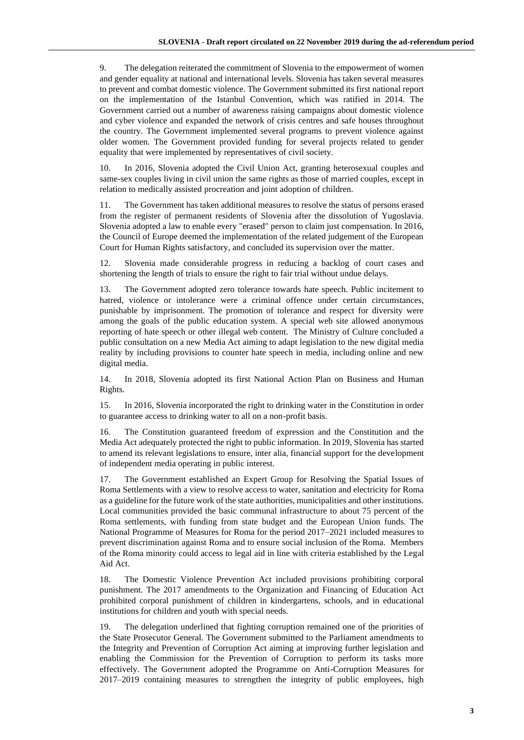9. The delegation reiterated the commitment of Slovenia to the empowerment of women and gender equality at national and international levels. Slovenia has taken several measures to prevent and combat domestic violence. The Government submitted its first national report on the implementation of the Istanbul Convention, which was ratified in 2014. The Government carried out a number of awareness raising campaigns about domestic violence and cyber violence and expanded the network of crisis centres and safe houses throughout the country. The Government implemented several programs to prevent violence against older women. The Government provided funding for several projects related to gender equality that were implemented by representatives of civil society.

10. In 2016, Slovenia adopted the Civil Union Act, granting heterosexual couples and same-sex couples living in civil union the same rights as those of married couples, except in relation to medically assisted procreation and joint adoption of children.

11. The Government has taken additional measures to resolve the status of persons erased from the register of permanent residents of Slovenia after the dissolution of Yugoslavia. Slovenia adopted a law to enable every "erased" person to claim just compensation. In 2016, the Council of Europe deemed the implementation of the related judgement of the European Court for Human Rights satisfactory, and concluded its supervision over the matter.

12. Slovenia made considerable progress in reducing a backlog of court cases and shortening the length of trials to ensure the right to fair trial without undue delays.

13. The Government adopted zero tolerance towards hate speech. Public incitement to hatred, violence or intolerance were a criminal offence under certain circumstances, punishable by imprisonment. The promotion of tolerance and respect for diversity were among the goals of the public education system. A special web site allowed anonymous reporting of hate speech or other illegal web content. The Ministry of Culture concluded a public consultation on a new Media Act aiming to adapt legislation to the new digital media reality by including provisions to counter hate speech in media, including online and new digital media.

14. In 2018, Slovenia adopted its first National Action Plan on Business and Human Rights.

15. In 2016, Slovenia incorporated the right to drinking water in the Constitution in order to guarantee access to drinking water to all on a non-profit basis.

16. The Constitution guaranteed freedom of expression and the Constitution and the Media Act adequately protected the right to public information. In 2019, Slovenia has started to amend its relevant legislations to ensure, inter alia, financial support for the development of independent media operating in public interest.

17. The Government established an Expert Group for Resolving the Spatial Issues of Roma Settlements with a view to resolve access to water, sanitation and electricity for Roma as a guideline for the future work of the state authorities, municipalities and other institutions. Local communities provided the basic communal infrastructure to about 75 percent of the Roma settlements, with funding from state budget and the European Union funds. The National Programme of Measures for Roma for the period 2017–2021 included measures to prevent discrimination against Roma and to ensure social inclusion of the Roma. Members of the Roma minority could access to legal aid in line with criteria established by the Legal Aid Act.

18. The Domestic Violence Prevention Act included provisions prohibiting corporal punishment. The 2017 amendments to the Organization and Financing of Education Act prohibited corporal punishment of children in kindergartens, schools, and in educational institutions for children and youth with special needs.

19. The delegation underlined that fighting corruption remained one of the priorities of the State Prosecutor General. The Government submitted to the Parliament amendments to the Integrity and Prevention of Corruption Act aiming at improving further legislation and enabling the Commission for the Prevention of Corruption to perform its tasks more effectively. The Government adopted the Programme on Anti-Corruption Measures for 2017–2019 containing measures to strengthen the integrity of public employees, high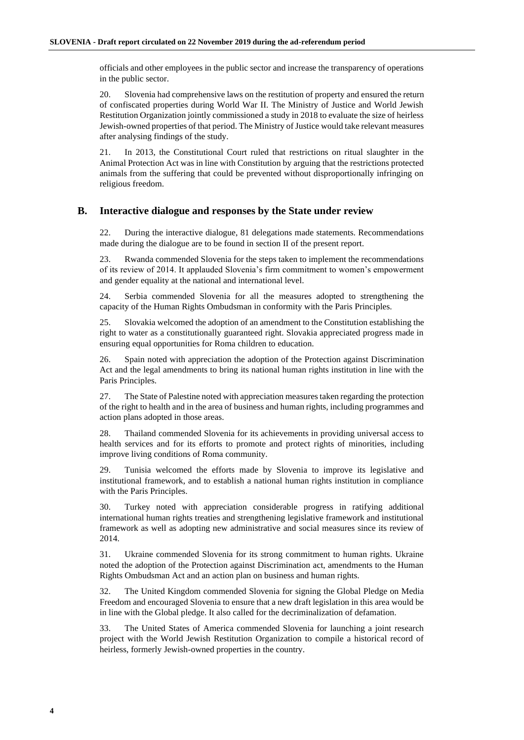officials and other employees in the public sector and increase the transparency of operations in the public sector.

20. Slovenia had comprehensive laws on the restitution of property and ensured the return of confiscated properties during World War II. The Ministry of Justice and World Jewish Restitution Organization jointly commissioned a study in 2018 to evaluate the size of heirless Jewish-owned properties of that period. The Ministry of Justice would take relevant measures after analysing findings of the study.

21. In 2013, the Constitutional Court ruled that restrictions on ritual slaughter in the Animal Protection Act was in line with Constitution by arguing that the restrictions protected animals from the suffering that could be prevented without disproportionally infringing on religious freedom.

#### **B. Interactive dialogue and responses by the State under review**

22. During the interactive dialogue, 81 delegations made statements. Recommendations made during the dialogue are to be found in section II of the present report.

23. Rwanda commended Slovenia for the steps taken to implement the recommendations of its review of 2014. It applauded Slovenia's firm commitment to women's empowerment and gender equality at the national and international level.

24. Serbia commended Slovenia for all the measures adopted to strengthening the capacity of the Human Rights Ombudsman in conformity with the Paris Principles.

25. Slovakia welcomed the adoption of an amendment to the Constitution establishing the right to water as a constitutionally guaranteed right. Slovakia appreciated progress made in ensuring equal opportunities for Roma children to education.

26. Spain noted with appreciation the adoption of the Protection against Discrimination Act and the legal amendments to bring its national human rights institution in line with the Paris Principles.

27. The State of Palestine noted with appreciation measures taken regarding the protection of the right to health and in the area of business and human rights, including programmes and action plans adopted in those areas.

28. Thailand commended Slovenia for its achievements in providing universal access to health services and for its efforts to promote and protect rights of minorities, including improve living conditions of Roma community.

29. Tunisia welcomed the efforts made by Slovenia to improve its legislative and institutional framework, and to establish a national human rights institution in compliance with the Paris Principles.

30. Turkey noted with appreciation considerable progress in ratifying additional international human rights treaties and strengthening legislative framework and institutional framework as well as adopting new administrative and social measures since its review of 2014.

31. Ukraine commended Slovenia for its strong commitment to human rights. Ukraine noted the adoption of the Protection against Discrimination act, amendments to the Human Rights Ombudsman Act and an action plan on business and human rights.

32. The United Kingdom commended Slovenia for signing the Global Pledge on Media Freedom and encouraged Slovenia to ensure that a new draft legislation in this area would be in line with the Global pledge. It also called for the decriminalization of defamation.

33. The United States of America commended Slovenia for launching a joint research project with the World Jewish Restitution Organization to compile a historical record of heirless, formerly Jewish-owned properties in the country.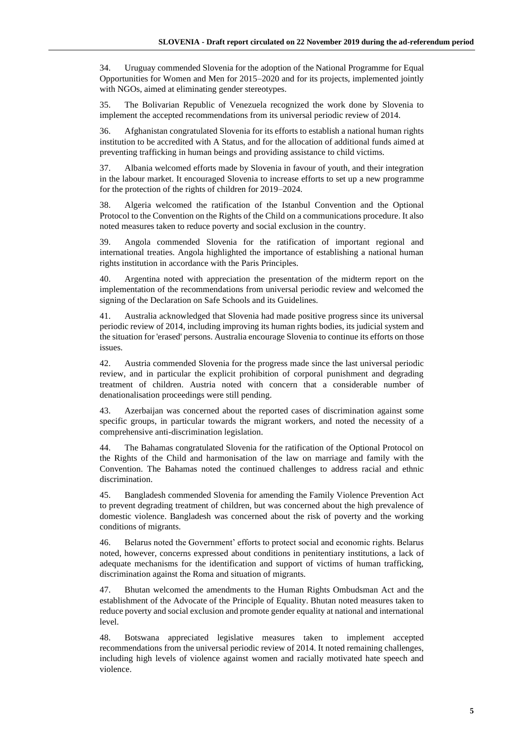34. Uruguay commended Slovenia for the adoption of the National Programme for Equal Opportunities for Women and Men for 2015–2020 and for its projects, implemented jointly with NGOs, aimed at eliminating gender stereotypes.

35. The Bolivarian Republic of Venezuela recognized the work done by Slovenia to implement the accepted recommendations from its universal periodic review of 2014.

36. Afghanistan congratulated Slovenia for its efforts to establish a national human rights institution to be accredited with A Status, and for the allocation of additional funds aimed at preventing trafficking in human beings and providing assistance to child victims.

37. Albania welcomed efforts made by Slovenia in favour of youth, and their integration in the labour market. It encouraged Slovenia to increase efforts to set up a new programme for the protection of the rights of children for 2019–2024.

38. Algeria welcomed the ratification of the Istanbul Convention and the Optional Protocol to the Convention on the Rights of the Child on a communications procedure. It also noted measures taken to reduce poverty and social exclusion in the country.

39. Angola commended Slovenia for the ratification of important regional and international treaties. Angola highlighted the importance of establishing a national human rights institution in accordance with the Paris Principles.

40. Argentina noted with appreciation the presentation of the midterm report on the implementation of the recommendations from universal periodic review and welcomed the signing of the Declaration on Safe Schools and its Guidelines.

41. Australia acknowledged that Slovenia had made positive progress since its universal periodic review of 2014, including improving its human rights bodies, its judicial system and the situation for 'erased' persons. Australia encourage Slovenia to continue its efforts on those issues.

42. Austria commended Slovenia for the progress made since the last universal periodic review, and in particular the explicit prohibition of corporal punishment and degrading treatment of children. Austria noted with concern that a considerable number of denationalisation proceedings were still pending.

43. Azerbaijan was concerned about the reported cases of discrimination against some specific groups, in particular towards the migrant workers, and noted the necessity of a comprehensive anti-discrimination legislation.

44. The Bahamas congratulated Slovenia for the ratification of the Optional Protocol on the Rights of the Child and harmonisation of the law on marriage and family with the Convention. The Bahamas noted the continued challenges to address racial and ethnic discrimination.

45. Bangladesh commended Slovenia for amending the Family Violence Prevention Act to prevent degrading treatment of children, but was concerned about the high prevalence of domestic violence. Bangladesh was concerned about the risk of poverty and the working conditions of migrants.

46. Belarus noted the Government' efforts to protect social and economic rights. Belarus noted, however, concerns expressed about conditions in penitentiary institutions, a lack of adequate mechanisms for the identification and support of victims of human trafficking, discrimination against the Roma and situation of migrants.

47. Bhutan welcomed the amendments to the Human Rights Ombudsman Act and the establishment of the Advocate of the Principle of Equality. Bhutan noted measures taken to reduce poverty and social exclusion and promote gender equality at national and international level.

48. Botswana appreciated legislative measures taken to implement accepted recommendations from the universal periodic review of 2014. It noted remaining challenges, including high levels of violence against women and racially motivated hate speech and violence.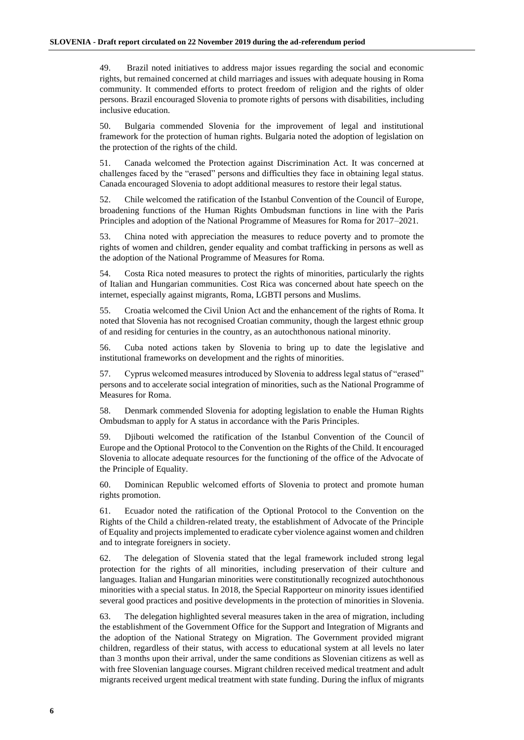49. Brazil noted initiatives to address major issues regarding the social and economic rights, but remained concerned at child marriages and issues with adequate housing in Roma community. It commended efforts to protect freedom of religion and the rights of older persons. Brazil encouraged Slovenia to promote rights of persons with disabilities, including inclusive education.

50. Bulgaria commended Slovenia for the improvement of legal and institutional framework for the protection of human rights. Bulgaria noted the adoption of legislation on the protection of the rights of the child.

51. Canada welcomed the Protection against Discrimination Act. It was concerned at challenges faced by the "erased" persons and difficulties they face in obtaining legal status. Canada encouraged Slovenia to adopt additional measures to restore their legal status.

52. Chile welcomed the ratification of the Istanbul Convention of the Council of Europe, broadening functions of the Human Rights Ombudsman functions in line with the Paris Principles and adoption of the National Programme of Measures for Roma for 2017–2021.

53. China noted with appreciation the measures to reduce poverty and to promote the rights of women and children, gender equality and combat trafficking in persons as well as the adoption of the National Programme of Measures for Roma.

54. Costa Rica noted measures to protect the rights of minorities, particularly the rights of Italian and Hungarian communities. Cost Rica was concerned about hate speech on the internet, especially against migrants, Roma, LGBTI persons and Muslims.

55. Croatia welcomed the Civil Union Act and the enhancement of the rights of Roma. It noted that Slovenia has not recognised Croatian community, though the largest ethnic group of and residing for centuries in the country, as an autochthonous national minority.

56. Cuba noted actions taken by Slovenia to bring up to date the legislative and institutional frameworks on development and the rights of minorities.

57. Cyprus welcomed measures introduced by Slovenia to address legal status of "erased" persons and to accelerate social integration of minorities, such as the National Programme of Measures for Roma.

58. Denmark commended Slovenia for adopting legislation to enable the Human Rights Ombudsman to apply for A status in accordance with the Paris Principles.

59. Djibouti welcomed the ratification of the Istanbul Convention of the Council of Europe and the Optional Protocol to the Convention on the Rights of the Child. It encouraged Slovenia to allocate adequate resources for the functioning of the office of the Advocate of the Principle of Equality.

60. Dominican Republic welcomed efforts of Slovenia to protect and promote human rights promotion.

61. Ecuador noted the ratification of the Optional Protocol to the Convention on the Rights of the Child a children-related treaty, the establishment of Advocate of the Principle of Equality and projects implemented to eradicate cyber violence against women and children and to integrate foreigners in society.

62. The delegation of Slovenia stated that the legal framework included strong legal protection for the rights of all minorities, including preservation of their culture and languages. Italian and Hungarian minorities were constitutionally recognized autochthonous minorities with a special status. In 2018, the Special Rapporteur on minority issues identified several good practices and positive developments in the protection of minorities in Slovenia.

63. The delegation highlighted several measures taken in the area of migration, including the establishment of the Government Office for the Support and Integration of Migrants and the adoption of the National Strategy on Migration. The Government provided migrant children, regardless of their status, with access to educational system at all levels no later than 3 months upon their arrival, under the same conditions as Slovenian citizens as well as with free Slovenian language courses. Migrant children received medical treatment and adult migrants received urgent medical treatment with state funding. During the influx of migrants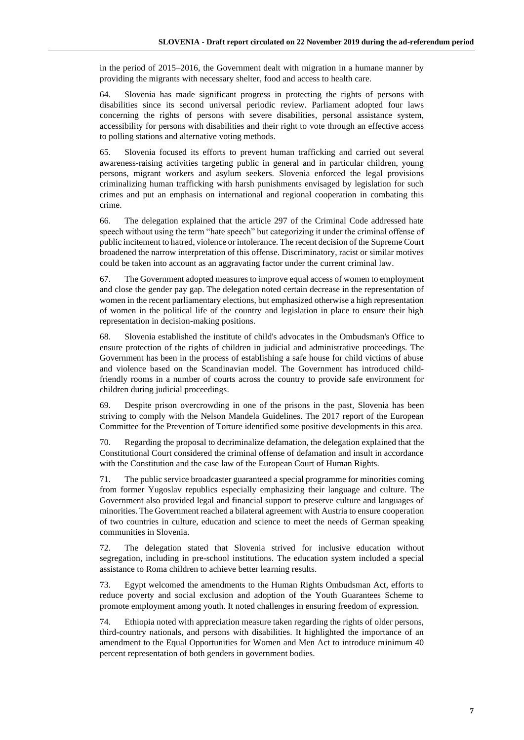in the period of 2015–2016, the Government dealt with migration in a humane manner by providing the migrants with necessary shelter, food and access to health care.

64. Slovenia has made significant progress in protecting the rights of persons with disabilities since its second universal periodic review. Parliament adopted four laws concerning the rights of persons with severe disabilities, personal assistance system, accessibility for persons with disabilities and their right to vote through an effective access to polling stations and alternative voting methods.

65. Slovenia focused its efforts to prevent human trafficking and carried out several awareness-raising activities targeting public in general and in particular children, young persons, migrant workers and asylum seekers. Slovenia enforced the legal provisions criminalizing human trafficking with harsh punishments envisaged by legislation for such crimes and put an emphasis on international and regional cooperation in combating this crime.

66. The delegation explained that the article 297 of the Criminal Code addressed hate speech without using the term "hate speech" but categorizing it under the criminal offense of public incitement to hatred, violence or intolerance. The recent decision of the Supreme Court broadened the narrow interpretation of this offense. Discriminatory, racist or similar motives could be taken into account as an aggravating factor under the current criminal law.

67. The Government adopted measures to improve equal access of women to employment and close the gender pay gap. The delegation noted certain decrease in the representation of women in the recent parliamentary elections, but emphasized otherwise a high representation of women in the political life of the country and legislation in place to ensure their high representation in decision-making positions.

68. Slovenia established the institute of child's advocates in the Ombudsman's Office to ensure protection of the rights of children in judicial and administrative proceedings. The Government has been in the process of establishing a safe house for child victims of abuse and violence based on the Scandinavian model. The Government has introduced childfriendly rooms in a number of courts across the country to provide safe environment for children during judicial proceedings.

69. Despite prison overcrowding in one of the prisons in the past, Slovenia has been striving to comply with the Nelson Mandela Guidelines. The 2017 report of the European Committee for the Prevention of Torture identified some positive developments in this area.

70. Regarding the proposal to decriminalize defamation, the delegation explained that the Constitutional Court considered the criminal offense of defamation and insult in accordance with the Constitution and the case law of the European Court of Human Rights.

71. The public service broadcaster guaranteed a special programme for minorities coming from former Yugoslav republics especially emphasizing their language and culture. The Government also provided legal and financial support to preserve culture and languages of minorities. The Government reached a bilateral agreement with Austria to ensure cooperation of two countries in culture, education and science to meet the needs of German speaking communities in Slovenia.

72. The delegation stated that Slovenia strived for inclusive education without segregation, including in pre-school institutions. The education system included a special assistance to Roma children to achieve better learning results.

73. Egypt welcomed the amendments to the Human Rights Ombudsman Act, efforts to reduce poverty and social exclusion and adoption of the Youth Guarantees Scheme to promote employment among youth. It noted challenges in ensuring freedom of expression.

74. Ethiopia noted with appreciation measure taken regarding the rights of older persons, third-country nationals, and persons with disabilities. It highlighted the importance of an amendment to the Equal Opportunities for Women and Men Act to introduce minimum 40 percent representation of both genders in government bodies.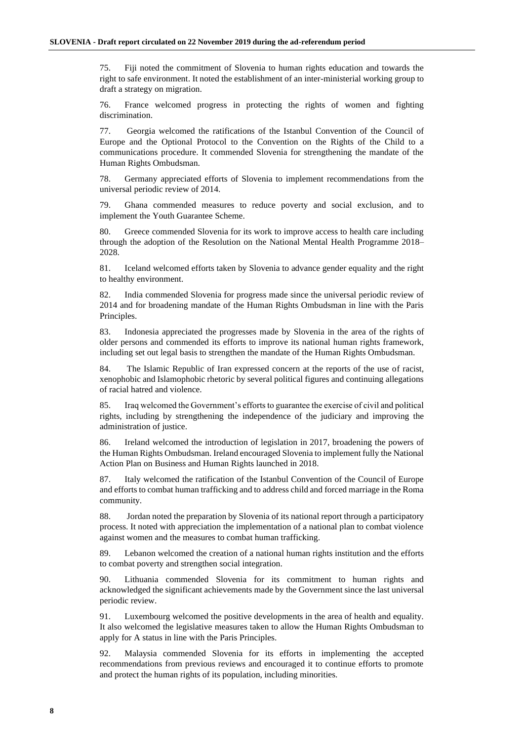75. Fiji noted the commitment of Slovenia to human rights education and towards the right to safe environment. It noted the establishment of an inter-ministerial working group to draft a strategy on migration.

76. France welcomed progress in protecting the rights of women and fighting discrimination.

77. Georgia welcomed the ratifications of the Istanbul Convention of the Council of Europe and the Optional Protocol to the Convention on the Rights of the Child to a communications procedure. It commended Slovenia for strengthening the mandate of the Human Rights Ombudsman.

78. Germany appreciated efforts of Slovenia to implement recommendations from the universal periodic review of 2014.

79. Ghana commended measures to reduce poverty and social exclusion, and to implement the Youth Guarantee Scheme.

80. Greece commended Slovenia for its work to improve access to health care including through the adoption of the Resolution on the National Mental Health Programme 2018– 2028.

81. Iceland welcomed efforts taken by Slovenia to advance gender equality and the right to healthy environment.

82. India commended Slovenia for progress made since the universal periodic review of 2014 and for broadening mandate of the Human Rights Ombudsman in line with the Paris Principles.

83. Indonesia appreciated the progresses made by Slovenia in the area of the rights of older persons and commended its efforts to improve its national human rights framework, including set out legal basis to strengthen the mandate of the Human Rights Ombudsman.

84. The Islamic Republic of Iran expressed concern at the reports of the use of racist, xenophobic and Islamophobic rhetoric by several political figures and continuing allegations of racial hatred and violence.

85. Iraq welcomed the Government's efforts to guarantee the exercise of civil and political rights, including by strengthening the independence of the judiciary and improving the administration of justice.

86. Ireland welcomed the introduction of legislation in 2017, broadening the powers of the Human Rights Ombudsman. Ireland encouraged Slovenia to implement fully the National Action Plan on Business and Human Rights launched in 2018.

87. Italy welcomed the ratification of the Istanbul Convention of the Council of Europe and efforts to combat human trafficking and to address child and forced marriage in the Roma community.

88. Jordan noted the preparation by Slovenia of its national report through a participatory process. It noted with appreciation the implementation of a national plan to combat violence against women and the measures to combat human trafficking.

89. Lebanon welcomed the creation of a national human rights institution and the efforts to combat poverty and strengthen social integration.

90. Lithuania commended Slovenia for its commitment to human rights and acknowledged the significant achievements made by the Government since the last universal periodic review.

91. Luxembourg welcomed the positive developments in the area of health and equality. It also welcomed the legislative measures taken to allow the Human Rights Ombudsman to apply for A status in line with the Paris Principles.

92. Malaysia commended Slovenia for its efforts in implementing the accepted recommendations from previous reviews and encouraged it to continue efforts to promote and protect the human rights of its population, including minorities.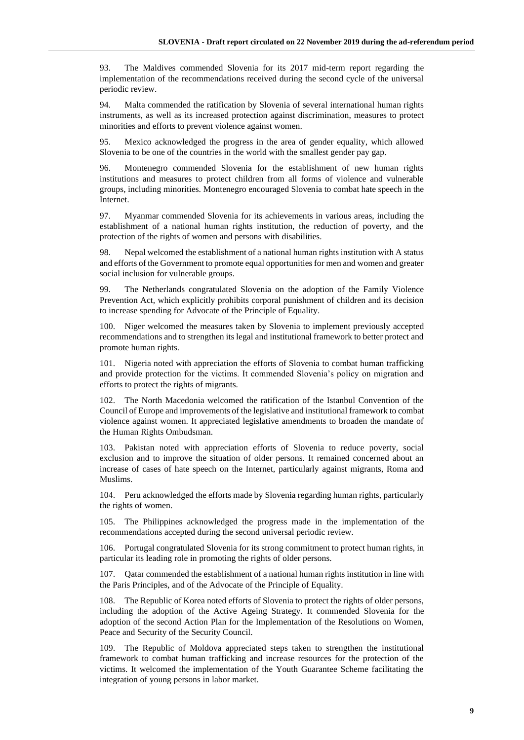93. The Maldives commended Slovenia for its 2017 mid-term report regarding the implementation of the recommendations received during the second cycle of the universal periodic review.

94. Malta commended the ratification by Slovenia of several international human rights instruments, as well as its increased protection against discrimination, measures to protect minorities and efforts to prevent violence against women.

95. Mexico acknowledged the progress in the area of gender equality, which allowed Slovenia to be one of the countries in the world with the smallest gender pay gap.

96. Montenegro commended Slovenia for the establishment of new human rights institutions and measures to protect children from all forms of violence and vulnerable groups, including minorities. Montenegro encouraged Slovenia to combat hate speech in the Internet.

97. Myanmar commended Slovenia for its achievements in various areas, including the establishment of a national human rights institution, the reduction of poverty, and the protection of the rights of women and persons with disabilities.

98. Nepal welcomed the establishment of a national human rights institution with A status and efforts of the Government to promote equal opportunities for men and women and greater social inclusion for vulnerable groups.

99. The Netherlands congratulated Slovenia on the adoption of the Family Violence Prevention Act, which explicitly prohibits corporal punishment of children and its decision to increase spending for Advocate of the Principle of Equality.

100. Niger welcomed the measures taken by Slovenia to implement previously accepted recommendations and to strengthen its legal and institutional framework to better protect and promote human rights.

101. Nigeria noted with appreciation the efforts of Slovenia to combat human trafficking and provide protection for the victims. It commended Slovenia's policy on migration and efforts to protect the rights of migrants.

102. The North Macedonia welcomed the ratification of the Istanbul Convention of the Council of Europe and improvements of the legislative and institutional framework to combat violence against women. It appreciated legislative amendments to broaden the mandate of the Human Rights Ombudsman.

103. Pakistan noted with appreciation efforts of Slovenia to reduce poverty, social exclusion and to improve the situation of older persons. It remained concerned about an increase of cases of hate speech on the Internet, particularly against migrants, Roma and Muslims.

104. Peru acknowledged the efforts made by Slovenia regarding human rights, particularly the rights of women.

105. The Philippines acknowledged the progress made in the implementation of the recommendations accepted during the second universal periodic review.

106. Portugal congratulated Slovenia for its strong commitment to protect human rights, in particular its leading role in promoting the rights of older persons.

107. Qatar commended the establishment of a national human rights institution in line with the Paris Principles, and of the Advocate of the Principle of Equality.

108. The Republic of Korea noted efforts of Slovenia to protect the rights of older persons, including the adoption of the Active Ageing Strategy. It commended Slovenia for the adoption of the second Action Plan for the Implementation of the Resolutions on Women, Peace and Security of the Security Council.

109. The Republic of Moldova appreciated steps taken to strengthen the institutional framework to combat human trafficking and increase resources for the protection of the victims. It welcomed the implementation of the Youth Guarantee Scheme facilitating the integration of young persons in labor market.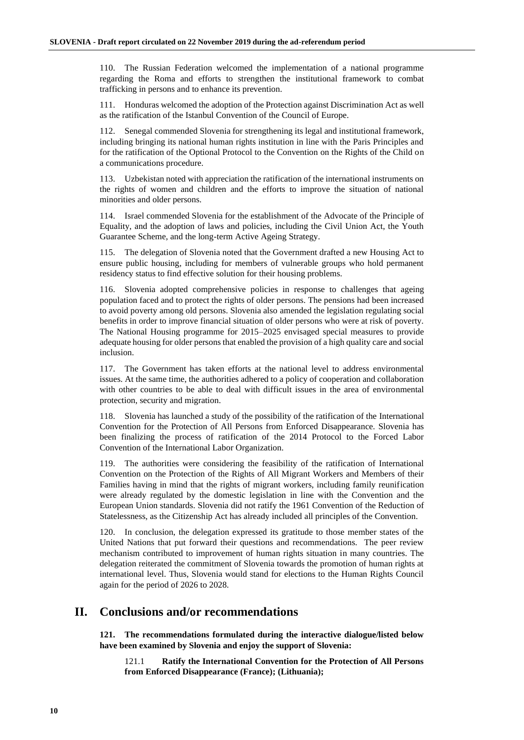110. The Russian Federation welcomed the implementation of a national programme regarding the Roma and efforts to strengthen the institutional framework to combat trafficking in persons and to enhance its prevention.

111. Honduras welcomed the adoption of the Protection against Discrimination Act as well as the ratification of the Istanbul Convention of the Council of Europe.

112. Senegal commended Slovenia for strengthening its legal and institutional framework, including bringing its national human rights institution in line with the Paris Principles and for the ratification of the Optional Protocol to the Convention on the Rights of the Child on a communications procedure.

113. Uzbekistan noted with appreciation the ratification of the international instruments on the rights of women and children and the efforts to improve the situation of national minorities and older persons.

114. Israel commended Slovenia for the establishment of the Advocate of the Principle of Equality, and the adoption of laws and policies, including the Civil Union Act, the Youth Guarantee Scheme, and the long-term Active Ageing Strategy.

115. The delegation of Slovenia noted that the Government drafted a new Housing Act to ensure public housing, including for members of vulnerable groups who hold permanent residency status to find effective solution for their housing problems.

116. Slovenia adopted comprehensive policies in response to challenges that ageing population faced and to protect the rights of older persons. The pensions had been increased to avoid poverty among old persons. Slovenia also amended the legislation regulating social benefits in order to improve financial situation of older persons who were at risk of poverty. The National Housing programme for 2015–2025 envisaged special measures to provide adequate housing for older persons that enabled the provision of a high quality care and social inclusion.

117. The Government has taken efforts at the national level to address environmental issues. At the same time, the authorities adhered to a policy of cooperation and collaboration with other countries to be able to deal with difficult issues in the area of environmental protection, security and migration.

118. Slovenia has launched a study of the possibility of the ratification of the International Convention for the Protection of All Persons from Enforced Disappearance. Slovenia has been finalizing the process of ratification of the 2014 Protocol to the Forced Labor Convention of the International Labor Organization.

119. The authorities were considering the feasibility of the ratification of International Convention on the Protection of the Rights of All Migrant Workers and Members of their Families having in mind that the rights of migrant workers, including family reunification were already regulated by the domestic legislation in line with the Convention and the European Union standards. Slovenia did not ratify the 1961 Convention of the Reduction of Statelessness, as the Citizenship Act has already included all principles of the Convention.

120. In conclusion, the delegation expressed its gratitude to those member states of the United Nations that put forward their questions and recommendations. The peer review mechanism contributed to improvement of human rights situation in many countries. The delegation reiterated the commitment of Slovenia towards the promotion of human rights at international level. Thus, Slovenia would stand for elections to the Human Rights Council again for the period of 2026 to 2028.

## **II. Conclusions and/or recommendations**

**121. The recommendations formulated during the interactive dialogue/listed below have been examined by Slovenia and enjoy the support of Slovenia:**

121.1 **Ratify the International Convention for the Protection of All Persons from Enforced Disappearance (France); (Lithuania);**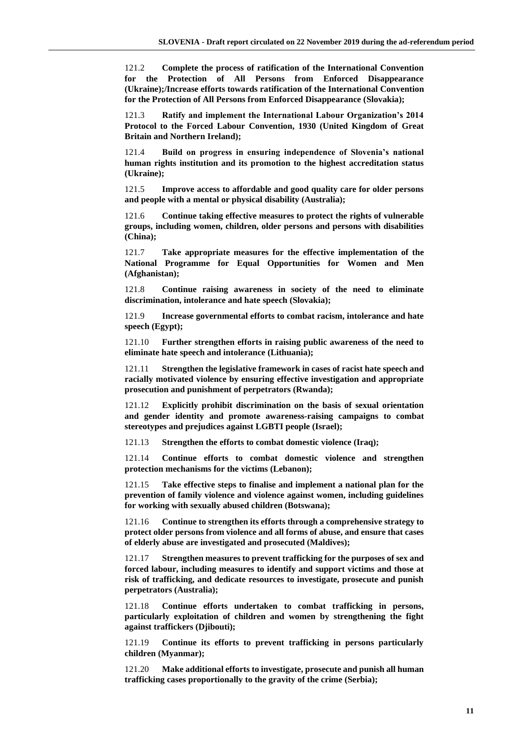121.2 **Complete the process of ratification of the International Convention for the Protection of All Persons from Enforced Disappearance (Ukraine);/Increase efforts towards ratification of the International Convention for the Protection of All Persons from Enforced Disappearance (Slovakia);**

121.3 **Ratify and implement the International Labour Organization's 2014 Protocol to the Forced Labour Convention, 1930 (United Kingdom of Great Britain and Northern Ireland);**

121.4 **Build on progress in ensuring independence of Slovenia's national human rights institution and its promotion to the highest accreditation status (Ukraine);**

121.5 **Improve access to affordable and good quality care for older persons and people with a mental or physical disability (Australia);**

121.6 **Continue taking effective measures to protect the rights of vulnerable groups, including women, children, older persons and persons with disabilities (China);**

121.7 **Take appropriate measures for the effective implementation of the National Programme for Equal Opportunities for Women and Men (Afghanistan);**

121.8 **Continue raising awareness in society of the need to eliminate discrimination, intolerance and hate speech (Slovakia);**

121.9 **Increase governmental efforts to combat racism, intolerance and hate speech (Egypt);**

121.10 **Further strengthen efforts in raising public awareness of the need to eliminate hate speech and intolerance (Lithuania);**

121.11 **Strengthen the legislative framework in cases of racist hate speech and racially motivated violence by ensuring effective investigation and appropriate prosecution and punishment of perpetrators (Rwanda);**

121.12 **Explicitly prohibit discrimination on the basis of sexual orientation and gender identity and promote awareness-raising campaigns to combat stereotypes and prejudices against LGBTI people (Israel);**

121.13 **Strengthen the efforts to combat domestic violence (Iraq);**

121.14 **Continue efforts to combat domestic violence and strengthen protection mechanisms for the victims (Lebanon);**

121.15 **Take effective steps to finalise and implement a national plan for the prevention of family violence and violence against women, including guidelines for working with sexually abused children (Botswana);**

121.16 **Continue to strengthen its efforts through a comprehensive strategy to protect older persons from violence and all forms of abuse, and ensure that cases of elderly abuse are investigated and prosecuted (Maldives);**

121.17 **Strengthen measures to prevent trafficking for the purposes of sex and forced labour, including measures to identify and support victims and those at risk of trafficking, and dedicate resources to investigate, prosecute and punish perpetrators (Australia);**

121.18 **Continue efforts undertaken to combat trafficking in persons, particularly exploitation of children and women by strengthening the fight against traffickers (Djibouti);**

121.19 **Continue its efforts to prevent trafficking in persons particularly children (Myanmar);**

121.20 **Make additional efforts to investigate, prosecute and punish all human trafficking cases proportionally to the gravity of the crime (Serbia);**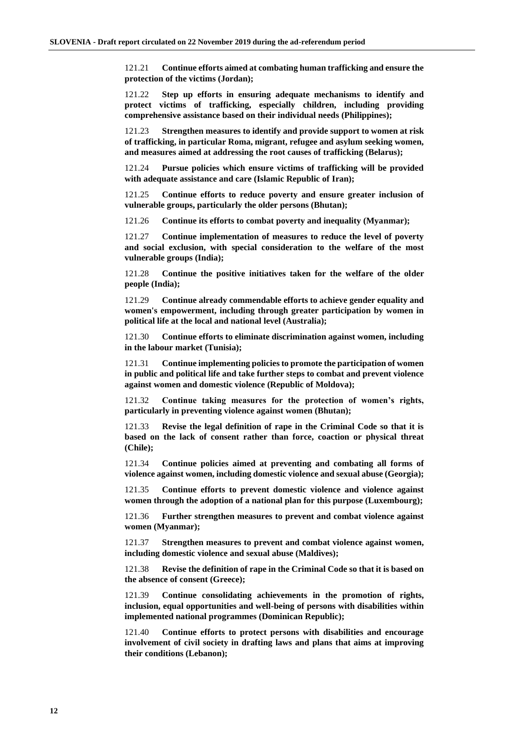121.21 **Continue efforts aimed at combating human trafficking and ensure the protection of the victims (Jordan);**

121.22 **Step up efforts in ensuring adequate mechanisms to identify and protect victims of trafficking, especially children, including providing comprehensive assistance based on their individual needs (Philippines);**

121.23 **Strengthen measures to identify and provide support to women at risk of trafficking, in particular Roma, migrant, refugee and asylum seeking women, and measures aimed at addressing the root causes of trafficking (Belarus);**

121.24 **Pursue policies which ensure victims of trafficking will be provided with adequate assistance and care (Islamic Republic of Iran);**

121.25 **Continue efforts to reduce poverty and ensure greater inclusion of vulnerable groups, particularly the older persons (Bhutan);**

121.26 **Continue its efforts to combat poverty and inequality (Myanmar);**

121.27 **Continue implementation of measures to reduce the level of poverty and social exclusion, with special consideration to the welfare of the most vulnerable groups (India);**

121.28 **Continue the positive initiatives taken for the welfare of the older people (India);**

121.29 **Continue already commendable efforts to achieve gender equality and women's empowerment, including through greater participation by women in political life at the local and national level (Australia);**

121.30 **Continue efforts to eliminate discrimination against women, including in the labour market (Tunisia);**

121.31 **Continue implementing policies to promote the participation of women in public and political life and take further steps to combat and prevent violence against women and domestic violence (Republic of Moldova);**

121.32 **Continue taking measures for the protection of women's rights, particularly in preventing violence against women (Bhutan);**

121.33 **Revise the legal definition of rape in the Criminal Code so that it is based on the lack of consent rather than force, coaction or physical threat (Chile);**

121.34 **Continue policies aimed at preventing and combating all forms of violence against women, including domestic violence and sexual abuse (Georgia);**

121.35 **Continue efforts to prevent domestic violence and violence against women through the adoption of a national plan for this purpose (Luxembourg);**

121.36 **Further strengthen measures to prevent and combat violence against women (Myanmar);**

121.37 **Strengthen measures to prevent and combat violence against women, including domestic violence and sexual abuse (Maldives);**

121.38 **Revise the definition of rape in the Criminal Code so that it is based on the absence of consent (Greece);**

121.39 **Continue consolidating achievements in the promotion of rights, inclusion, equal opportunities and well-being of persons with disabilities within implemented national programmes (Dominican Republic);**

121.40 **Continue efforts to protect persons with disabilities and encourage involvement of civil society in drafting laws and plans that aims at improving their conditions (Lebanon);**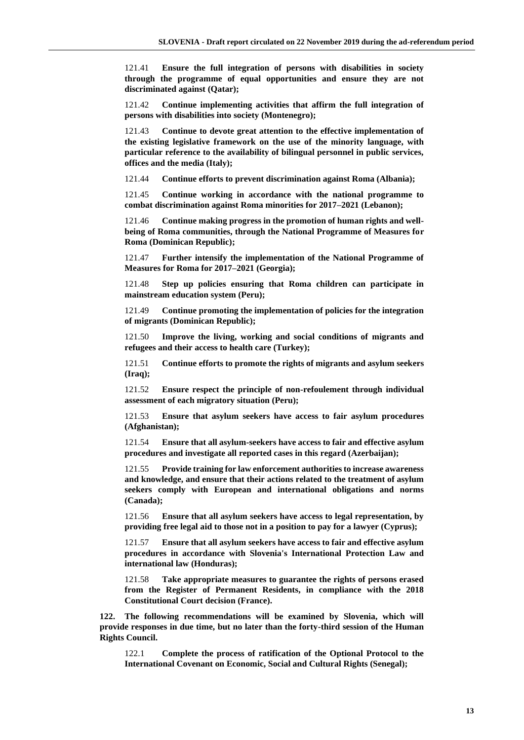121.41 **Ensure the full integration of persons with disabilities in society through the programme of equal opportunities and ensure they are not discriminated against (Qatar);**

121.42 **Continue implementing activities that affirm the full integration of persons with disabilities into society (Montenegro);**

121.43 **Continue to devote great attention to the effective implementation of the existing legislative framework on the use of the minority language, with particular reference to the availability of bilingual personnel in public services, offices and the media (Italy);**

121.44 **Continue efforts to prevent discrimination against Roma (Albania);**

121.45 **Continue working in accordance with the national programme to combat discrimination against Roma minorities for 2017–2021 (Lebanon);**

121.46 **Continue making progress in the promotion of human rights and wellbeing of Roma communities, through the National Programme of Measures for Roma (Dominican Republic);**

121.47 **Further intensify the implementation of the National Programme of Measures for Roma for 2017–2021 (Georgia);**

121.48 **Step up policies ensuring that Roma children can participate in mainstream education system (Peru);**

121.49 **Continue promoting the implementation of policies for the integration of migrants (Dominican Republic);**

121.50 **Improve the living, working and social conditions of migrants and refugees and their access to health care (Turkey);**

121.51 **Continue efforts to promote the rights of migrants and asylum seekers (Iraq);**

121.52 **Ensure respect the principle of non-refoulement through individual assessment of each migratory situation (Peru);**

121.53 **Ensure that asylum seekers have access to fair asylum procedures (Afghanistan);**

121.54 **Ensure that all asylum-seekers have access to fair and effective asylum procedures and investigate all reported cases in this regard (Azerbaijan);**

121.55 **Provide training for law enforcement authorities to increase awareness and knowledge, and ensure that their actions related to the treatment of asylum seekers comply with European and international obligations and norms (Canada);**

121.56 **Ensure that all asylum seekers have access to legal representation, by providing free legal aid to those not in a position to pay for a lawyer (Cyprus);**

121.57 **Ensure that all asylum seekers have access to fair and effective asylum procedures in accordance with Slovenia's International Protection Law and international law (Honduras);**

121.58 **Take appropriate measures to guarantee the rights of persons erased from the Register of Permanent Residents, in compliance with the 2018 Constitutional Court decision (France).**

**122. The following recommendations will be examined by Slovenia, which will provide responses in due time, but no later than the forty-third session of the Human Rights Council.**

122.1 **Complete the process of ratification of the Optional Protocol to the International Covenant on Economic, Social and Cultural Rights (Senegal);**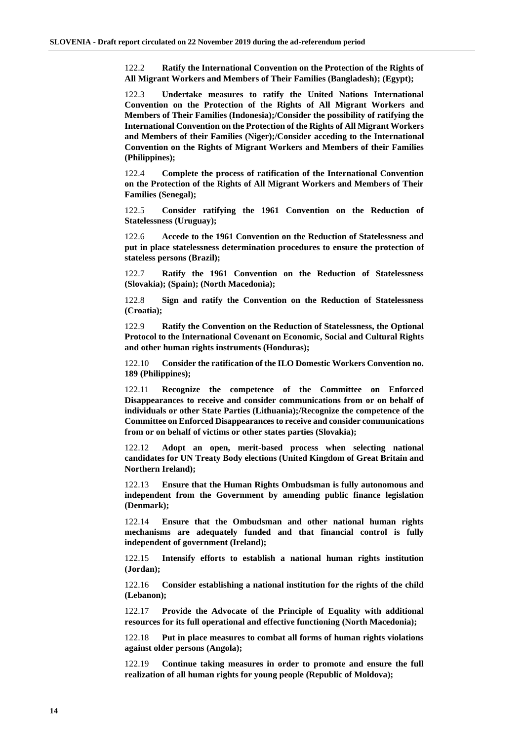122.2 **Ratify the International Convention on the Protection of the Rights of All Migrant Workers and Members of Their Families (Bangladesh); (Egypt);**

122.3 **Undertake measures to ratify the United Nations International Convention on the Protection of the Rights of All Migrant Workers and Members of Their Families (Indonesia);/Consider the possibility of ratifying the International Convention on the Protection of the Rights of All Migrant Workers and Members of their Families (Niger);/Consider acceding to the International Convention on the Rights of Migrant Workers and Members of their Families (Philippines);**

122.4 **Complete the process of ratification of the International Convention on the Protection of the Rights of All Migrant Workers and Members of Their Families (Senegal);**

122.5 **Consider ratifying the 1961 Convention on the Reduction of Statelessness (Uruguay);**

122.6 **Accede to the 1961 Convention on the Reduction of Statelessness and put in place statelessness determination procedures to ensure the protection of stateless persons (Brazil);**

122.7 **Ratify the 1961 Convention on the Reduction of Statelessness (Slovakia); (Spain); (North Macedonia);**

122.8 **Sign and ratify the Convention on the Reduction of Statelessness (Croatia);**

122.9 **Ratify the Convention on the Reduction of Statelessness, the Optional Protocol to the International Covenant on Economic, Social and Cultural Rights and other human rights instruments (Honduras);**

122.10 **Consider the ratification of the ILO Domestic Workers Convention no. 189 (Philippines);**

122.11 **Recognize the competence of the Committee on Enforced Disappearances to receive and consider communications from or on behalf of individuals or other State Parties (Lithuania);/Recognize the competence of the Committee on Enforced Disappearances to receive and consider communications from or on behalf of victims or other states parties (Slovakia);**

122.12 **Adopt an open, merit-based process when selecting national candidates for UN Treaty Body elections (United Kingdom of Great Britain and Northern Ireland);**

122.13 **Ensure that the Human Rights Ombudsman is fully autonomous and independent from the Government by amending public finance legislation (Denmark);**

122.14 **Ensure that the Ombudsman and other national human rights mechanisms are adequately funded and that financial control is fully independent of government (Ireland);**

122.15 **Intensify efforts to establish a national human rights institution (Jordan);**

122.16 **Consider establishing a national institution for the rights of the child (Lebanon);**

122.17 **Provide the Advocate of the Principle of Equality with additional resources for its full operational and effective functioning (North Macedonia);**

122.18 **Put in place measures to combat all forms of human rights violations against older persons (Angola);**

122.19 **Continue taking measures in order to promote and ensure the full realization of all human rights for young people (Republic of Moldova);**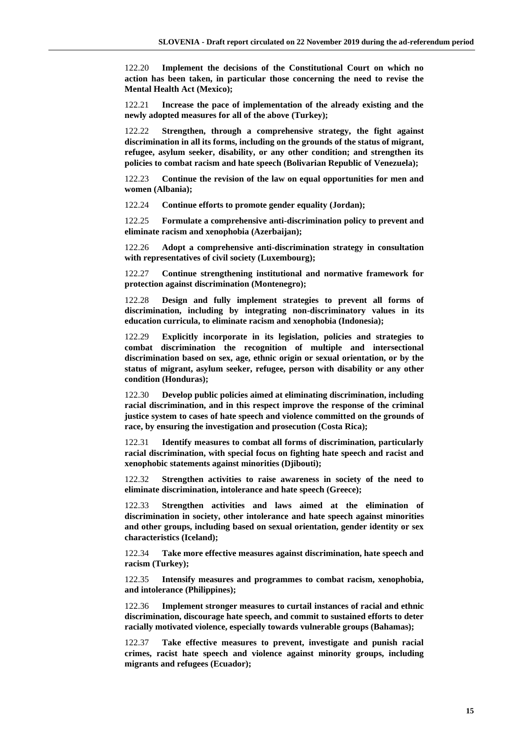122.20 **Implement the decisions of the Constitutional Court on which no action has been taken, in particular those concerning the need to revise the Mental Health Act (Mexico);**

122.21 **Increase the pace of implementation of the already existing and the newly adopted measures for all of the above (Turkey);**

122.22 **Strengthen, through a comprehensive strategy, the fight against discrimination in all its forms, including on the grounds of the status of migrant, refugee, asylum seeker, disability, or any other condition; and strengthen its policies to combat racism and hate speech (Bolivarian Republic of Venezuela);**

122.23 **Continue the revision of the law on equal opportunities for men and women (Albania);**

122.24 **Continue efforts to promote gender equality (Jordan);**

122.25 **Formulate a comprehensive anti-discrimination policy to prevent and eliminate racism and xenophobia (Azerbaijan);**

122.26 **Adopt a comprehensive anti-discrimination strategy in consultation with representatives of civil society (Luxembourg);**

122.27 **Continue strengthening institutional and normative framework for protection against discrimination (Montenegro);**

122.28 **Design and fully implement strategies to prevent all forms of discrimination, including by integrating non-discriminatory values in its education curricula, to eliminate racism and xenophobia (Indonesia);**

122.29 **Explicitly incorporate in its legislation, policies and strategies to combat discrimination the recognition of multiple and intersectional discrimination based on sex, age, ethnic origin or sexual orientation, or by the status of migrant, asylum seeker, refugee, person with disability or any other condition (Honduras);**

122.30 **Develop public policies aimed at eliminating discrimination, including racial discrimination, and in this respect improve the response of the criminal justice system to cases of hate speech and violence committed on the grounds of race, by ensuring the investigation and prosecution (Costa Rica);**

122.31 **Identify measures to combat all forms of discrimination, particularly racial discrimination, with special focus on fighting hate speech and racist and xenophobic statements against minorities (Djibouti);**

122.32 **Strengthen activities to raise awareness in society of the need to eliminate discrimination, intolerance and hate speech (Greece);**

122.33 **Strengthen activities and laws aimed at the elimination of discrimination in society, other intolerance and hate speech against minorities and other groups, including based on sexual orientation, gender identity or sex characteristics (Iceland);**

122.34 **Take more effective measures against discrimination, hate speech and racism (Turkey);**

122.35 **Intensify measures and programmes to combat racism, xenophobia, and intolerance (Philippines);**

122.36 **Implement stronger measures to curtail instances of racial and ethnic discrimination, discourage hate speech, and commit to sustained efforts to deter racially motivated violence, especially towards vulnerable groups (Bahamas);**

122.37 **Take effective measures to prevent, investigate and punish racial crimes, racist hate speech and violence against minority groups, including migrants and refugees (Ecuador);**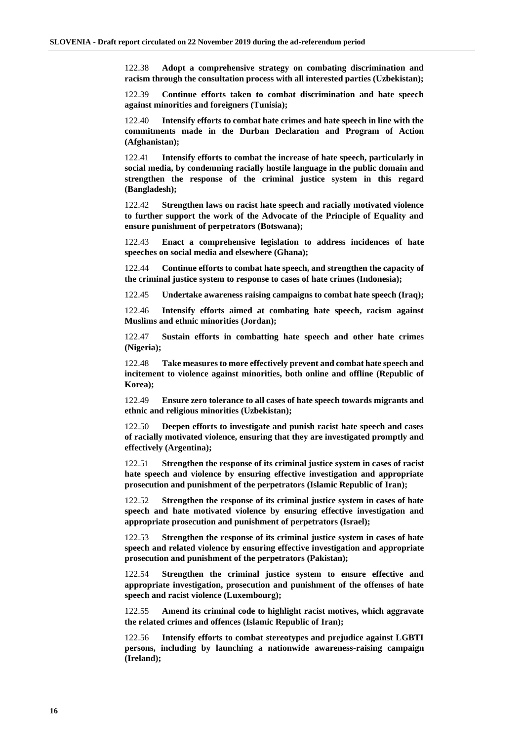122.38 **Adopt a comprehensive strategy on combating discrimination and racism through the consultation process with all interested parties (Uzbekistan);**

122.39 **Continue efforts taken to combat discrimination and hate speech against minorities and foreigners (Tunisia);**

122.40 **Intensify efforts to combat hate crimes and hate speech in line with the commitments made in the Durban Declaration and Program of Action (Afghanistan);**

122.41 **Intensify efforts to combat the increase of hate speech, particularly in social media, by condemning racially hostile language in the public domain and strengthen the response of the criminal justice system in this regard (Bangladesh);**

122.42 **Strengthen laws on racist hate speech and racially motivated violence to further support the work of the Advocate of the Principle of Equality and ensure punishment of perpetrators (Botswana);**

122.43 **Enact a comprehensive legislation to address incidences of hate speeches on social media and elsewhere (Ghana);**

122.44 **Continue efforts to combat hate speech, and strengthen the capacity of the criminal justice system to response to cases of hate crimes (Indonesia);**

122.45 **Undertake awareness raising campaigns to combat hate speech (Iraq);**

122.46 **Intensify efforts aimed at combating hate speech, racism against Muslims and ethnic minorities (Jordan);**

122.47 **Sustain efforts in combatting hate speech and other hate crimes (Nigeria);**

122.48 **Take measures to more effectively prevent and combat hate speech and incitement to violence against minorities, both online and offline (Republic of Korea);**

122.49 **Ensure zero tolerance to all cases of hate speech towards migrants and ethnic and religious minorities (Uzbekistan);**

122.50 **Deepen efforts to investigate and punish racist hate speech and cases of racially motivated violence, ensuring that they are investigated promptly and effectively (Argentina);**

122.51 **Strengthen the response of its criminal justice system in cases of racist hate speech and violence by ensuring effective investigation and appropriate prosecution and punishment of the perpetrators (Islamic Republic of Iran);**

122.52 **Strengthen the response of its criminal justice system in cases of hate speech and hate motivated violence by ensuring effective investigation and appropriate prosecution and punishment of perpetrators (Israel);**

122.53 **Strengthen the response of its criminal justice system in cases of hate speech and related violence by ensuring effective investigation and appropriate prosecution and punishment of the perpetrators (Pakistan);**

122.54 **Strengthen the criminal justice system to ensure effective and appropriate investigation, prosecution and punishment of the offenses of hate speech and racist violence (Luxembourg);**

122.55 **Amend its criminal code to highlight racist motives, which aggravate the related crimes and offences (Islamic Republic of Iran);**

122.56 **Intensify efforts to combat stereotypes and prejudice against LGBTI persons, including by launching a nationwide awareness-raising campaign (Ireland);**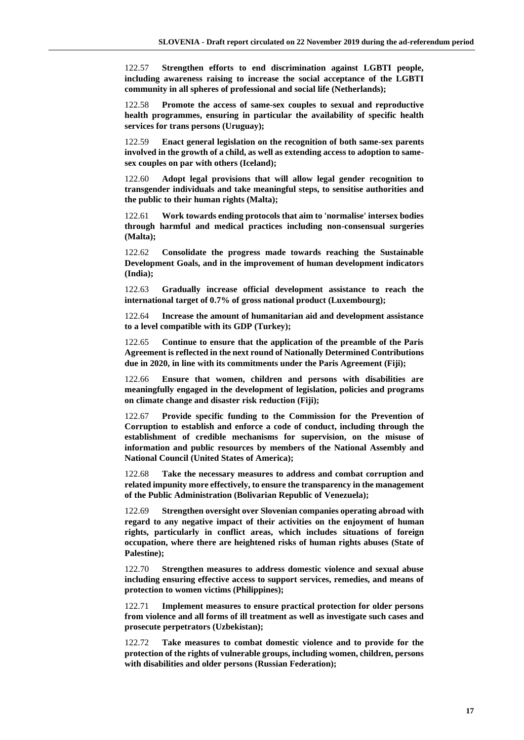122.57 **Strengthen efforts to end discrimination against LGBTI people, including awareness raising to increase the social acceptance of the LGBTI community in all spheres of professional and social life (Netherlands);**

122.58 **Promote the access of same-sex couples to sexual and reproductive health programmes, ensuring in particular the availability of specific health services for trans persons (Uruguay);**

122.59 **Enact general legislation on the recognition of both same-sex parents involved in the growth of a child, as well as extending access to adoption to samesex couples on par with others (Iceland);**

122.60 **Adopt legal provisions that will allow legal gender recognition to transgender individuals and take meaningful steps, to sensitise authorities and the public to their human rights (Malta);**

122.61 **Work towards ending protocols that aim to 'normalise' intersex bodies through harmful and medical practices including non-consensual surgeries (Malta);**

122.62 **Consolidate the progress made towards reaching the Sustainable Development Goals, and in the improvement of human development indicators (India);**

122.63 **Gradually increase official development assistance to reach the international target of 0.7% of gross national product (Luxembourg);**

122.64 **Increase the amount of humanitarian aid and development assistance to a level compatible with its GDP (Turkey);**

122.65 **Continue to ensure that the application of the preamble of the Paris Agreement is reflected in the next round of Nationally Determined Contributions due in 2020, in line with its commitments under the Paris Agreement (Fiji);**

122.66 **Ensure that women, children and persons with disabilities are meaningfully engaged in the development of legislation, policies and programs on climate change and disaster risk reduction (Fiji);**

122.67 **Provide specific funding to the Commission for the Prevention of Corruption to establish and enforce a code of conduct, including through the establishment of credible mechanisms for supervision, on the misuse of information and public resources by members of the National Assembly and National Council (United States of America);**

122.68 **Take the necessary measures to address and combat corruption and related impunity more effectively, to ensure the transparency in the management of the Public Administration (Bolivarian Republic of Venezuela);**

122.69 **Strengthen oversight over Slovenian companies operating abroad with regard to any negative impact of their activities on the enjoyment of human rights, particularly in conflict areas, which includes situations of foreign occupation, where there are heightened risks of human rights abuses (State of Palestine);**

122.70 **Strengthen measures to address domestic violence and sexual abuse including ensuring effective access to support services, remedies, and means of protection to women victims (Philippines);**

122.71 **Implement measures to ensure practical protection for older persons from violence and all forms of ill treatment as well as investigate such cases and prosecute perpetrators (Uzbekistan);**

122.72 **Take measures to combat domestic violence and to provide for the protection of the rights of vulnerable groups, including women, children, persons with disabilities and older persons (Russian Federation);**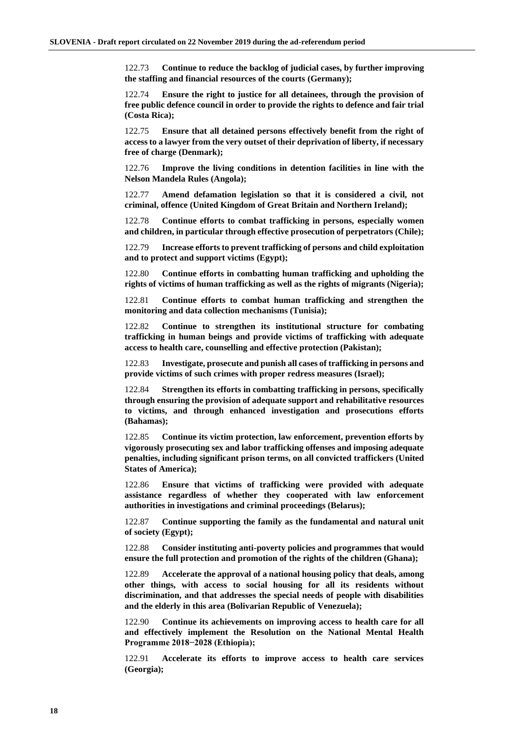122.73 **Continue to reduce the backlog of judicial cases, by further improving the staffing and financial resources of the courts (Germany);**

122.74 **Ensure the right to justice for all detainees, through the provision of free public defence council in order to provide the rights to defence and fair trial (Costa Rica);**

122.75 **Ensure that all detained persons effectively benefit from the right of access to a lawyer from the very outset of their deprivation of liberty, if necessary free of charge (Denmark);**

122.76 **Improve the living conditions in detention facilities in line with the Nelson Mandela Rules (Angola);**

122.77 **Amend defamation legislation so that it is considered a civil, not criminal, offence (United Kingdom of Great Britain and Northern Ireland);**

122.78 **Continue efforts to combat trafficking in persons, especially women and children, in particular through effective prosecution of perpetrators (Chile);**

122.79 **Increase efforts to prevent trafficking of persons and child exploitation and to protect and support victims (Egypt);**

122.80 **Continue efforts in combatting human trafficking and upholding the rights of victims of human trafficking as well as the rights of migrants (Nigeria);**

122.81 **Continue efforts to combat human trafficking and strengthen the monitoring and data collection mechanisms (Tunisia);**

122.82 **Continue to strengthen its institutional structure for combating trafficking in human beings and provide victims of trafficking with adequate access to health care, counselling and effective protection (Pakistan);**

122.83 **Investigate, prosecute and punish all cases of trafficking in persons and provide victims of such crimes with proper redress measures (Israel);**

122.84 **Strengthen its efforts in combatting trafficking in persons, specifically through ensuring the provision of adequate support and rehabilitative resources to victims, and through enhanced investigation and prosecutions efforts (Bahamas);**

122.85 **Continue its victim protection, law enforcement, prevention efforts by vigorously prosecuting sex and labor trafficking offenses and imposing adequate penalties, including significant prison terms, on all convicted traffickers (United States of America);**

122.86 **Ensure that victims of trafficking were provided with adequate assistance regardless of whether they cooperated with law enforcement authorities in investigations and criminal proceedings (Belarus);**

122.87 **Continue supporting the family as the fundamental and natural unit of society (Egypt);**

122.88 **Consider instituting anti-poverty policies and programmes that would ensure the full protection and promotion of the rights of the children (Ghana);**

122.89 **Accelerate the approval of a national housing policy that deals, among other things, with access to social housing for all its residents without discrimination, and that addresses the special needs of people with disabilities and the elderly in this area (Bolivarian Republic of Venezuela);**

122.90 **Continue its achievements on improving access to health care for all and effectively implement the Resolution on the National Mental Health Programme 2018−2028 (Ethiopia);**

122.91 **Accelerate its efforts to improve access to health care services (Georgia);**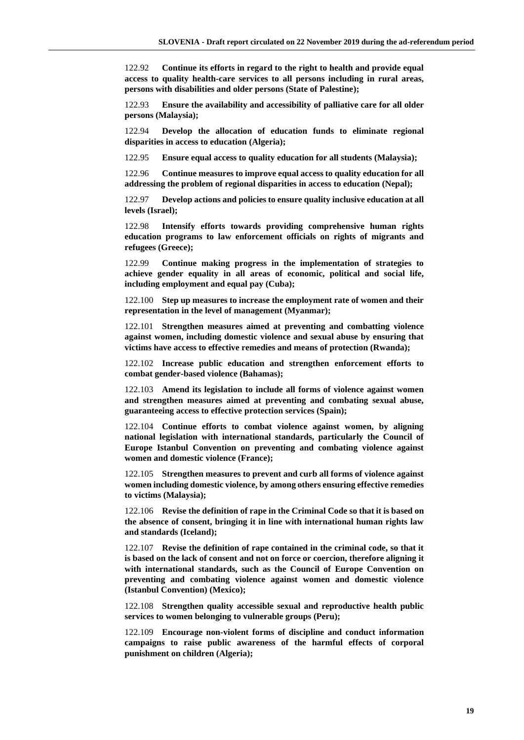122.92 **Continue its efforts in regard to the right to health and provide equal access to quality health-care services to all persons including in rural areas, persons with disabilities and older persons (State of Palestine);**

122.93 **Ensure the availability and accessibility of palliative care for all older persons (Malaysia);**

122.94 **Develop the allocation of education funds to eliminate regional disparities in access to education (Algeria);**

122.95 **Ensure equal access to quality education for all students (Malaysia);**

122.96 **Continue measures to improve equal access to quality education for all addressing the problem of regional disparities in access to education (Nepal);**

122.97 **Develop actions and policies to ensure quality inclusive education at all levels (Israel);**

122.98 **Intensify efforts towards providing comprehensive human rights education programs to law enforcement officials on rights of migrants and refugees (Greece);**

122.99 **Continue making progress in the implementation of strategies to achieve gender equality in all areas of economic, political and social life, including employment and equal pay (Cuba);**

122.100 **Step up measures to increase the employment rate of women and their representation in the level of management (Myanmar);**

122.101 **Strengthen measures aimed at preventing and combatting violence against women, including domestic violence and sexual abuse by ensuring that victims have access to effective remedies and means of protection (Rwanda);**

122.102 **Increase public education and strengthen enforcement efforts to combat gender-based violence (Bahamas);**

122.103 **Amend its legislation to include all forms of violence against women and strengthen measures aimed at preventing and combating sexual abuse, guaranteeing access to effective protection services (Spain);**

122.104 **Continue efforts to combat violence against women, by aligning national legislation with international standards, particularly the Council of Europe Istanbul Convention on preventing and combating violence against women and domestic violence (France);**

122.105 **Strengthen measures to prevent and curb all forms of violence against women including domestic violence, by among others ensuring effective remedies to victims (Malaysia);**

122.106 **Revise the definition of rape in the Criminal Code so that it is based on the absence of consent, bringing it in line with international human rights law and standards (Iceland);**

122.107 **Revise the definition of rape contained in the criminal code, so that it is based on the lack of consent and not on force or coercion, therefore aligning it with international standards, such as the Council of Europe Convention on preventing and combating violence against women and domestic violence (Istanbul Convention) (Mexico);**

122.108 **Strengthen quality accessible sexual and reproductive health public services to women belonging to vulnerable groups (Peru);**

122.109 **Encourage non-violent forms of discipline and conduct information campaigns to raise public awareness of the harmful effects of corporal punishment on children (Algeria);**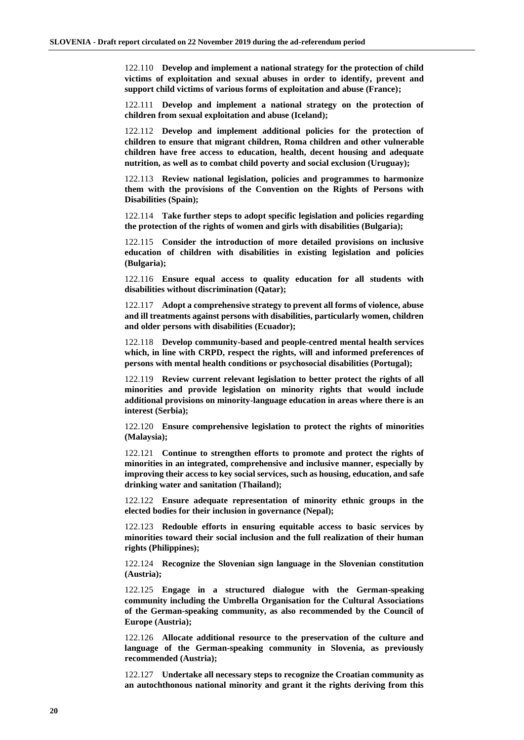122.110 **Develop and implement a national strategy for the protection of child victims of exploitation and sexual abuses in order to identify, prevent and support child victims of various forms of exploitation and abuse (France);**

122.111 **Develop and implement a national strategy on the protection of children from sexual exploitation and abuse (Iceland);**

122.112 **Develop and implement additional policies for the protection of children to ensure that migrant children, Roma children and other vulnerable children have free access to education, health, decent housing and adequate nutrition, as well as to combat child poverty and social exclusion (Uruguay);**

122.113 **Review national legislation, policies and programmes to harmonize them with the provisions of the Convention on the Rights of Persons with Disabilities (Spain);**

122.114 **Take further steps to adopt specific legislation and policies regarding the protection of the rights of women and girls with disabilities (Bulgaria);**

122.115 **Consider the introduction of more detailed provisions on inclusive education of children with disabilities in existing legislation and policies (Bulgaria);**

122.116 **Ensure equal access to quality education for all students with disabilities without discrimination (Qatar);**

122.117 **Adopt a comprehensive strategy to prevent all forms of violence, abuse and ill treatments against persons with disabilities, particularly women, children and older persons with disabilities (Ecuador);**

122.118 **Develop community-based and people-centred mental health services which, in line with CRPD, respect the rights, will and informed preferences of persons with mental health conditions or psychosocial disabilities (Portugal);**

122.119 **Review current relevant legislation to better protect the rights of all minorities and provide legislation on minority rights that would include additional provisions on minority-language education in areas where there is an interest (Serbia);**

122.120 **Ensure comprehensive legislation to protect the rights of minorities (Malaysia);**

122.121 **Continue to strengthen efforts to promote and protect the rights of minorities in an integrated, comprehensive and inclusive manner, especially by improving their access to key social services, such as housing, education, and safe drinking water and sanitation (Thailand);**

122.122 **Ensure adequate representation of minority ethnic groups in the elected bodies for their inclusion in governance (Nepal);**

122.123 **Redouble efforts in ensuring equitable access to basic services by minorities toward their social inclusion and the full realization of their human rights (Philippines);**

122.124 **Recognize the Slovenian sign language in the Slovenian constitution (Austria);**

122.125 **Engage in a structured dialogue with the German-speaking community including the Umbrella Organisation for the Cultural Associations of the German-speaking community, as also recommended by the Council of Europe (Austria);**

122.126 **Allocate additional resource to the preservation of the culture and language of the German-speaking community in Slovenia, as previously recommended (Austria);**

122.127 **Undertake all necessary steps to recognize the Croatian community as an autochthonous national minority and grant it the rights deriving from this**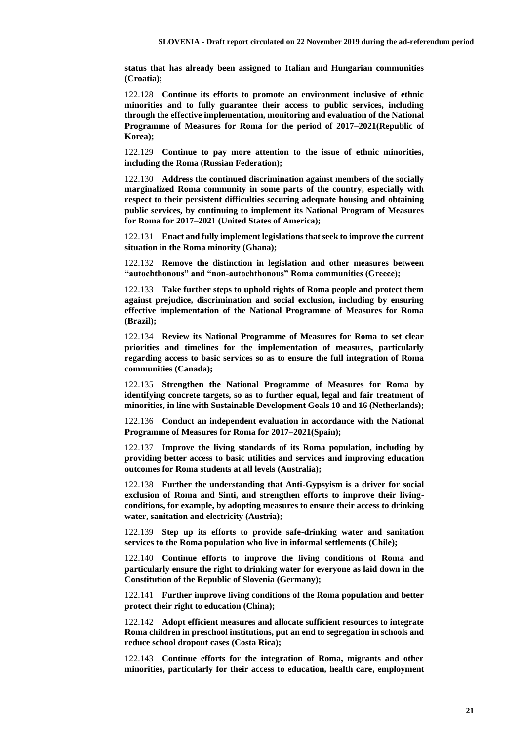**status that has already been assigned to Italian and Hungarian communities (Croatia);**

122.128 **Continue its efforts to promote an environment inclusive of ethnic minorities and to fully guarantee their access to public services, including through the effective implementation, monitoring and evaluation of the National Programme of Measures for Roma for the period of 2017–2021(Republic of Korea);**

122.129 **Continue to pay more attention to the issue of ethnic minorities, including the Roma (Russian Federation);**

122.130 **Address the continued discrimination against members of the socially marginalized Roma community in some parts of the country, especially with respect to their persistent difficulties securing adequate housing and obtaining public services, by continuing to implement its National Program of Measures for Roma for 2017–2021 (United States of America);**

122.131 **Enact and fully implement legislations that seek to improve the current situation in the Roma minority (Ghana);**

122.132 **Remove the distinction in legislation and other measures between "autochthonous" and "non-autochthonous" Roma communities (Greece);**

122.133 **Take further steps to uphold rights of Roma people and protect them against prejudice, discrimination and social exclusion, including by ensuring effective implementation of the National Programme of Measures for Roma (Brazil);**

122.134 **Review its National Programme of Measures for Roma to set clear priorities and timelines for the implementation of measures, particularly regarding access to basic services so as to ensure the full integration of Roma communities (Canada);**

122.135 **Strengthen the National Programme of Measures for Roma by identifying concrete targets, so as to further equal, legal and fair treatment of minorities, in line with Sustainable Development Goals 10 and 16 (Netherlands);**

122.136 **Conduct an independent evaluation in accordance with the National Programme of Measures for Roma for 2017–2021(Spain);**

122.137 **Improve the living standards of its Roma population, including by providing better access to basic utilities and services and improving education outcomes for Roma students at all levels (Australia);**

122.138 **Further the understanding that Anti-Gypsyism is a driver for social exclusion of Roma and Sinti, and strengthen efforts to improve their livingconditions, for example, by adopting measures to ensure their access to drinking water, sanitation and electricity (Austria);**

122.139 **Step up its efforts to provide safe-drinking water and sanitation services to the Roma population who live in informal settlements (Chile);**

122.140 **Continue efforts to improve the living conditions of Roma and particularly ensure the right to drinking water for everyone as laid down in the Constitution of the Republic of Slovenia (Germany);**

122.141 **Further improve living conditions of the Roma population and better protect their right to education (China);**

122.142 **Adopt efficient measures and allocate sufficient resources to integrate Roma children in preschool institutions, put an end to segregation in schools and reduce school dropout cases (Costa Rica);**

122.143 **Continue efforts for the integration of Roma, migrants and other minorities, particularly for their access to education, health care, employment**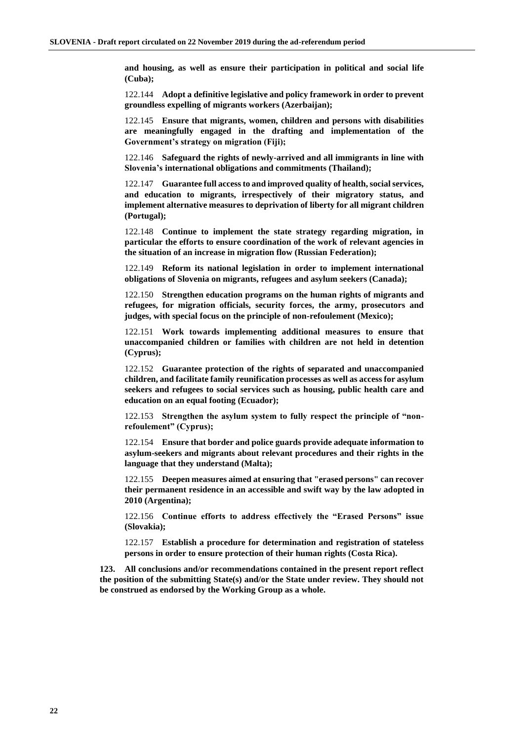**and housing, as well as ensure their participation in political and social life (Cuba);**

122.144 **Adopt a definitive legislative and policy framework in order to prevent groundless expelling of migrants workers (Azerbaijan);**

122.145 **Ensure that migrants, women, children and persons with disabilities are meaningfully engaged in the drafting and implementation of the Government's strategy on migration (Fiji);**

122.146 **Safeguard the rights of newly-arrived and all immigrants in line with Slovenia's international obligations and commitments (Thailand);**

122.147 **Guarantee full access to and improved quality of health, social services, and education to migrants, irrespectively of their migratory status, and implement alternative measures to deprivation of liberty for all migrant children (Portugal);**

122.148 **Continue to implement the state strategy regarding migration, in particular the efforts to ensure coordination of the work of relevant agencies in the situation of an increase in migration flow (Russian Federation);**

122.149 **Reform its national legislation in order to implement international obligations of Slovenia on migrants, refugees and asylum seekers (Canada);**

122.150 **Strengthen education programs on the human rights of migrants and refugees, for migration officials, security forces, the army, prosecutors and judges, with special focus on the principle of non-refoulement (Mexico);**

122.151 **Work towards implementing additional measures to ensure that unaccompanied children or families with children are not held in detention (Cyprus);**

122.152 **Guarantee protection of the rights of separated and unaccompanied children, and facilitate family reunification processes as well as access for asylum seekers and refugees to social services such as housing, public health care and education on an equal footing (Ecuador);**

122.153 **Strengthen the asylum system to fully respect the principle of "nonrefoulement" (Cyprus);**

122.154 **Ensure that border and police guards provide adequate information to asylum-seekers and migrants about relevant procedures and their rights in the language that they understand (Malta);**

122.155 **Deepen measures aimed at ensuring that "erased persons" can recover their permanent residence in an accessible and swift way by the law adopted in 2010 (Argentina);**

122.156 **Continue efforts to address effectively the "Erased Persons" issue (Slovakia);**

122.157 **Establish a procedure for determination and registration of stateless persons in order to ensure protection of their human rights (Costa Rica).**

**123. All conclusions and/or recommendations contained in the present report reflect the position of the submitting State(s) and/or the State under review. They should not be construed as endorsed by the Working Group as a whole.**